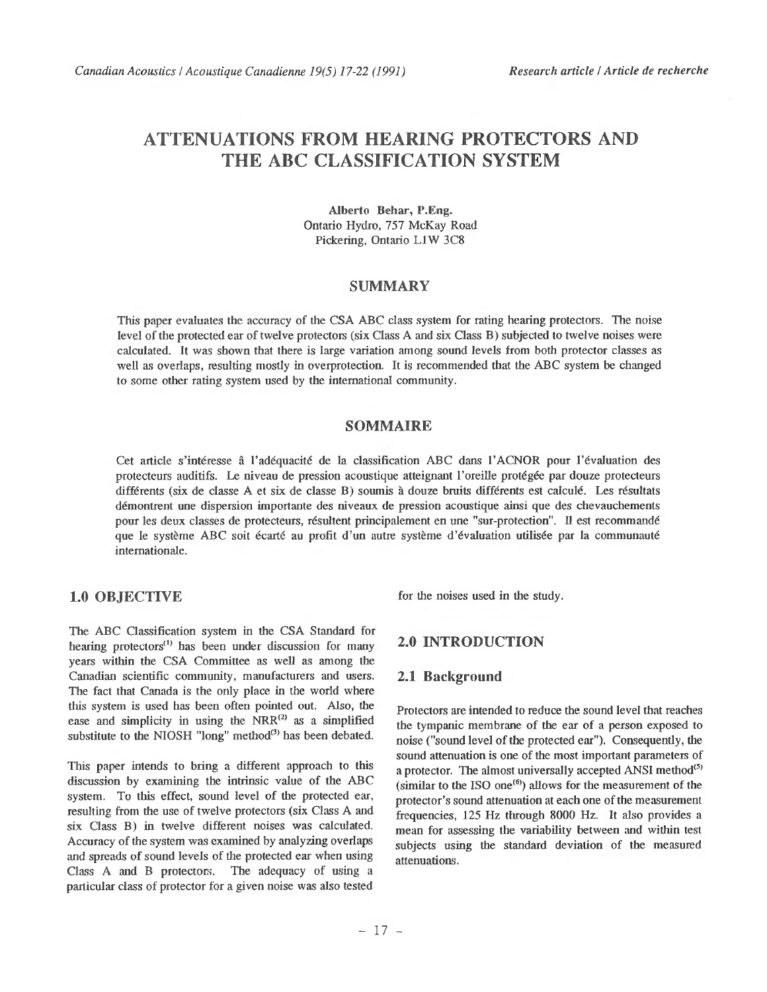# **ATTENUATIONS FROM HEARING PROTECTORS AND THE ABC CLASSIFICATION SYSTEM**

AUberto Behar, P.Eng. Ontario Hydro, 757 McKay Road Pickering, Ontario L1W 3C8

### **SUMMARY**

This paper evaluates the accuracy of the CSA ABC class system for rating hearing protectors. The noise level of the protected ear of twelve protectors (six Class A and six Class B) subjected to twelve noises were calculated. It was shown that there is large variation among sound levels from both protector classes as well as overlaps, resulting mostly in overprotection. It is recommended that the ABC system be changed to some other rating system used by the international community.

# **SOMMAIRE**

Cet article s'intéresse â l'adéquacité de la classification ABC dans l 'ACNOR pour l 'évaluation des protecteurs auditifs. Le niveau de pression acoustique atteignant l 'oreille protégée par douze protecteurs différents (six de classe A et six de classe B) soumis à douze bruits différents est calculé. Les résultats démontrent une dispersion importante des niveaux de pression acoustique ainsi que des chevauchements pour les deux classes de protecteurs, résultent principalement en une "sur-protection". Il est recommandé que le système ABC soit écarté au profit d'un autre système d'évaluation utilisée par la communauté internationale.

# **1.0 OBJECTIVE**

The ABC Classification system in the CSA Standard for hearing protectors<sup>(1)</sup> has been under discussion for many years within the CSA Committee as well as among the Canadian scientific community, manufacturers and users. The fact that Canada is the only place in the world where this system is used has been often pointed out. Also, the ease and simplicity in using the  $NRR^{(2)}$  as a simplified substitute to the NIOSH "long" method<sup>(3)</sup> has been debated.

This paper intends to bring a different approach to this discussion by examining the intrinsic value of the ABC system. To this effect, sound level of the protected ear, resulting from the use of twelve protectors (six Class A and six Class B) in twelve different noises was calculated. Accuracy of the system was examined by analyzing overlaps and spreads of sound levels of the protected ear when using Class A and B protectors. The adequacy of using a particular class of protector for a given noise was also tested

for the noises used in the study.

# **2.0 INTRODUCTION**

### **2.1 Background**

Protectors are intended to reduce the sound level that reaches the tympanic membrane of the ear of a person exposed to noise ("sound level of the protected ear"). Consequently, the sound attenuation is one of the most important parameters of a protector. The almost universally accepted ANSI method $(5)$ (similar to the ISO one<sup> $(6)$ </sup>) allows for the measurement of the protector's sound attenuation at each one of the measurement frequencies, 125 Hz tlirough 8000 Hz. It also provides a mean for assessing the variability between and within test subjects using the standard deviation of the measured attenuations.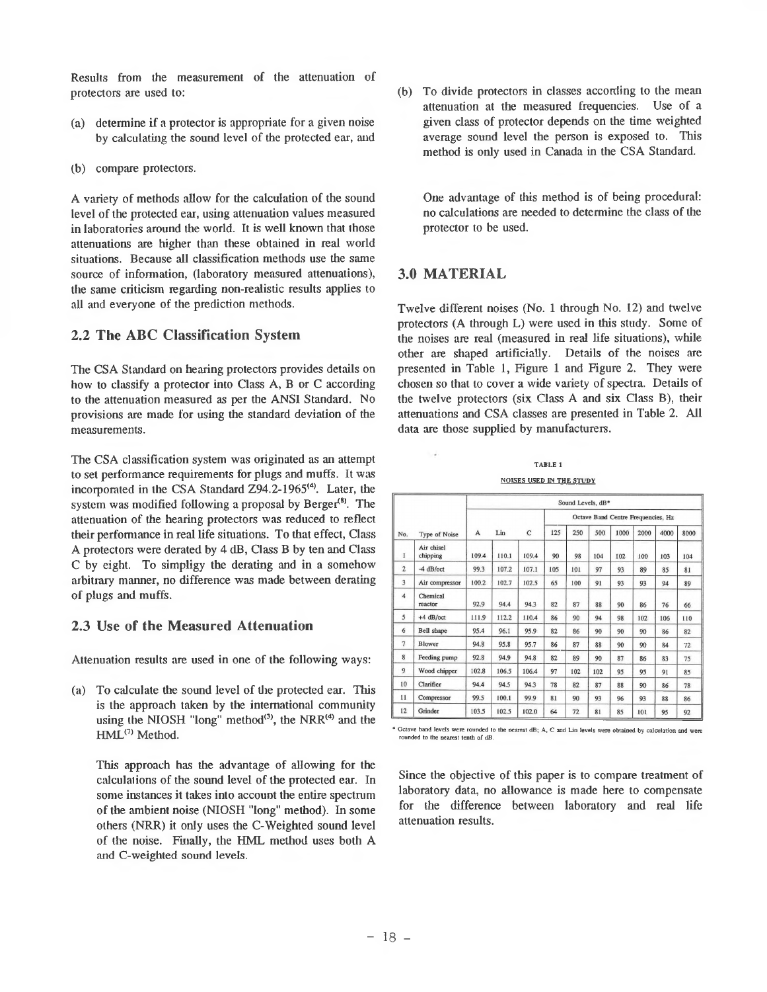Results from the measurement of the attenuation of protectors are used to:

- (a) determine if a protector is appropriate for a given noise by calculating the sound level of the protected ear, and
- (b) compare protectors.

A variety of methods allow for the calculation of the sound level of the protected ear, using attenuation values measured in laboratories around the world. It is well known that those attenuations are higher than these obtained in real world situations. Because all classification methods use the same source of information, (laboratory measured attenuations), the same criticism regarding non-realistic results applies to all and everyone of the prediction methods.

# **2.2 The ABC Classification System**

The CSA Standard on hearing protectors provides details on how to classify a protector into Class A, B or C according to the attenuation measured as per the ANSI Standard. No provisions are made for using the standard deviation of the measurements.

The CSA classification system was originated as an attempt to set performance requirements for plugs and muffs. It was incorporated in the CSA Standard Z94.2-1965<sup>(4)</sup>. Later, the system was modified following a proposal by Berger<sup>(8)</sup>. The attenuation of the hearing protectors was reduced to reflect their performance in real life situations. To that effect, Class A protectors were derated by 4 dB, Class B by ten and Class C by eight. To simpligy the derating and in a somehow arbitrary manner, no difference was made between derating of plugs and muffs.

# **2.3 Use of the Measured Attenuation**

Attenuation results are used in one of the following ways:

(a) To calculate the sound level of the protected ear. This is the approach taken by the international community using the NIOSH "long" method<sup>(3)</sup>, the NRR<sup>(4)</sup> and the HML<sup>(7)</sup> Method.

This approach has the advantage of allowing for the calculations of the sound level of the protected ear. In some instances it takes into account the entire spectrum of the ambient noise (NIOSH "long" method). In some others (NRR) it only uses the C-Weighted sound level of the noise. Finally, the HML method uses both A and C-weighted sound levels.

(b) To divide protectors in classes according to the mean attenuation at the measured frequencies. Use of a given class of protector depends on the time weighted average sound level the person is exposed to. This method is only used in Canada in the CSA Standard.

One advantage of this method is of being procedural: no calculations are needed to determine the class of the protector to be used.

# **3.0 MATERIAL**

Twelve different noises (No. 1 through No. 12) and twelve protectors (A through L) were used in this study. Some of the noises are real (measured in real life situations), while other are shaped artificially. Details of the noises are presented in Table 1, Figure 1 and Figure 2. They were chosen so that to cover a wide variety of spectra. Details of the twelve protectors (six Class A and six Class B), their attenuations and CSA classes are presented in Table 2. All data are those supplied by manufacturers.

**TABLE 1 NOISES USED IN THE STUDY** 

|                |                        | Sound Levels, dB* |       |       |                                    |     |     |      |      |      |      |  |  |
|----------------|------------------------|-------------------|-------|-------|------------------------------------|-----|-----|------|------|------|------|--|--|
| No.            |                        |                   |       |       | Octave Band Centre Frequencies, Hz |     |     |      |      |      |      |  |  |
|                | Type of Noise          | A                 | Lin   | C     | 125                                | 250 | 500 | 1000 | 2000 | 4000 | 8000 |  |  |
| 1              | Air chisel<br>chipping | 109.4             | 110.1 | 109.4 | 90                                 | 98  | 104 | 102  | 100  | 103  | 104  |  |  |
| $\overline{2}$ | $-4$ dB/oct            | 99.3              | 107.2 | 107.1 | 105                                | 101 | 97  | 93   | 89   | 85   | 81   |  |  |
| 3              | Air compressor         | 100.2             | 102.7 | 102.5 | 65                                 | 100 | 91  | 93   | 93   | 94   | 89   |  |  |
| $\overline{4}$ | Chemical<br>reactor    | 92.9              | 94.4  | 94.3  | 82                                 | 87  | 88  | 90   | 86   | 76   | 66   |  |  |
| 5              | $+4$ dB/oct            | 111.9             | 112.2 | 110.4 | 86                                 | 90  | 94  | 98   | 102  | 106  | 110  |  |  |
| 6              | <b>Bell</b> shape      | 95.4              | 96.1  | 95.9  | 82                                 | 86  | 90  | 90   | 90   | 86   | 82   |  |  |
| $\overline{7}$ | Blower                 | 94.8              | 95.8  | 95.7  | 86                                 | 87  | 88  | 90   | 90   | 84   | 72   |  |  |
| 8              | Feeding pump           | 92.8              | 94.9  | 94.8  | 82                                 | 89  | 90  | 87   | 86   | 83   | 75   |  |  |
| 9              | Wood chipper           | 102.8             | 106.5 | 106.4 | 97                                 | 102 | 102 | 95   | 95   | 91   | 85   |  |  |
| 10             | Clarifier              | 94.4              | 94.5  | 94.3  | 78                                 | 82  | 87  | 88   | 90   | 86   | 78   |  |  |
| 11             | Compressor             | 99.5              | 100.1 | 99.9  | 81                                 | 90  | 93  | 96   | 93   | 88   | 86   |  |  |
| 12             | Grinder                | 103.5             | 102.5 | 102.0 | 64                                 | 72  | 81  | 85   | 101  | 95   | 92   |  |  |

\* O ctave band levels were rounded to the nearest dB; **A ,** C and Lin levels w ere obtained by calculation and were rounded to the nearest tenth of dB

Since the objective of this paper is to compare treatment of laboratory data, no allowance is made here to compensate for the difference between laboratory and real life attenuation results.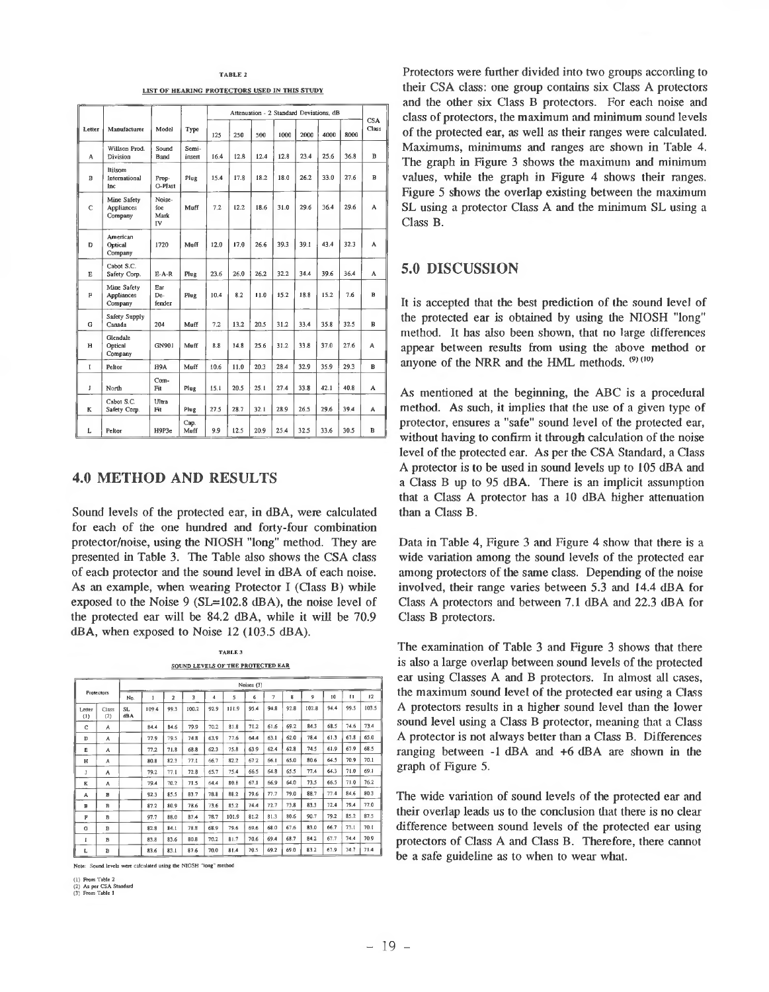#### TABLE 2

LIST OF HEARING PROTECTORS USED IN THIS STUDY

|        |                                             |                             |                 |      |      |      | Attenuation - 2 Standard Deviations, dB |      |      |      | <b>CSA</b>   |
|--------|---------------------------------------------|-----------------------------|-----------------|------|------|------|-----------------------------------------|------|------|------|--------------|
| Letter | Manufacturer                                | Model                       | Type            | 125  | 250  | 500  | 1000                                    | 2000 | 4000 | 8000 | Class        |
| A      | Willson Prod.<br>Division                   | Sound<br>Band               | Semi-<br>insert | 16.4 | 12.8 | 12.4 | 12.8                                    | 23.4 | 25.6 | 36.8 | $\bf{B}$     |
| в      | Bilsom<br>International<br>Inc.             | Prop-<br>O-Plast            | Plug            | 15.4 | 17.8 | 18.2 | 18.0                                    | 26.2 | 33.0 | 27.6 | В            |
| C      | Mine Safety<br>Appliances<br>Company        | Noise-<br>foe<br>Mark<br>IV | Muff            | 7.2  | 12.2 | 18.6 | 31.0                                    | 29.6 | 36.4 | 29.6 | A            |
| D      | American<br>Optical<br>Company              | 1720                        | Mnff            | 12.0 | 17.0 | 26.6 | 39.3                                    | 39.1 | 43.4 | 32.3 | A            |
| Е      | Cabot S.C.<br>Safety Corp.                  | $E-A-R$                     | Plug            | 23.6 | 26.0 | 26.2 | 32.2                                    | 34.4 | 39.6 | 36.4 | A            |
| F      | Mine Safety<br><b>Appliances</b><br>Company | Ear<br>De-<br>fender        | Plug            | 10.4 | 8.2  | 11.0 | 15.2                                    | 18.8 | 15.2 | 7.6  | B            |
| G      | Safety Supply<br>Canada                     | 204                         | Muff            | 7.2  | 13.2 | 20.5 | 31.2                                    | 33.4 | 35.8 | 32.5 | в            |
| н      | Glendale<br>Optical<br>Company              | GN901                       | Muff            | 8.8  | 14.8 | 25.6 | 31.2                                    | 33.8 | 37.0 | 27.6 | А            |
| ľ      | Peltor                                      | H9A                         | Muff            | 10.6 | 11.0 | 20.3 | 28.4                                    | 32.9 | 35.9 | 29.3 | $\mathbf{B}$ |
| I      | North                                       | Com-<br>Fit                 | Plug            | 15.1 | 20.5 | 25.1 | 27.4                                    | 33.8 | 42.1 | 40.8 | A            |
| K      | Cabot S.C.<br>Safety Corp.                  | Ultra<br>Fit                | Plug            | 27.5 | 28.7 | 32.1 | 28.9                                    | 26.5 | 29.6 | 39.4 | А            |
| Г      | Peltor                                      | H9P3e                       | Cap.<br>Muff    | 9.9  | 12.5 | 20.9 | 25.4                                    | 32.5 | 33.6 | 30.5 | в            |

## **4.0 METHOD AND RESULTS**

Sound levels of the protected ear, in dBA, were calculated for each of the one hundred and forty-four combination protector/noise, using the NIOSH "long" method. They are presented in Table 3. The Table also shows the CSA class of each protector and the sound level in dBA of each noise. As an example, when wearing Protector I (Class B) while exposed to the Noise 9 (SL=102.8 dBA), the noise level of the protected ear will be 84.2 dBA, while it will be 70.9 dBA, when exposed to Noise 12 (103.5 dBA).

TABLE 3 SOUND LEVELS OF THE PROTECTED EAR

|               |              | Noises (3)       |      |                         |       |      |       |      |      |      |       |      |              |       |
|---------------|--------------|------------------|------|-------------------------|-------|------|-------|------|------|------|-------|------|--------------|-------|
| Protectors    |              | No.              | 1    | $\overline{\mathbf{z}}$ | 3     | 4    | 5     | 6    | 7    | g    | 9     | 10   | $\mathbf{H}$ | 12    |
| Letter<br>(1) | Class<br>(2) | <b>SL</b><br>dBA | 1094 | 99.3                    | 100.2 | 92.9 | 111.9 | 95.4 | 94.8 | 92.8 | 102.8 | 94.4 | 99.5         | 103.5 |
| Ċ             | A            |                  | 84.4 | 84.6                    | 79.9  | 70.2 | 81.8  | 71.2 | 61.6 | 69.2 | 84.3  | 68.5 | 74.6         | 73.4  |
| D             | A            |                  | 77.9 | 79.5                    | 74.8  | 63.9 | 77.6  | 64.4 | 63.1 | 62.0 | 78.4  | 61.3 | 67.8         | 65.0  |
| E             | A            |                  | 77.2 | 71.8                    | 68.8  | 62.3 | 75.8  | 63.9 | 62.4 | 62.8 | 74.5  | 61.9 | 67.9         | 68.5  |
| н             | А            |                  | 80.8 | 82.3                    | 77.1  | 66.7 | 82.2  | 67.2 | 66.1 | 65.0 | 80.6  | 64.5 | 70.9         | 70.1  |
| J             | A            |                  | 79.2 | 77.1                    | 72.8  | 65.7 | 75.4  | 66.5 | 64.8 | 65.5 | 77.4  | 64.3 | 71.0         | 69.1  |
| к             | A            |                  | 79.4 | 70.2                    | 71.5  | 64.4 | 80.8  | 67.1 | 66.9 | 64.0 | 73.5  | 66.5 | 71.0         | 76.2  |
| A             | в            |                  | 92.3 | 85.5                    | 83.7  | 78.8 | 88.2  | 79.6 | T1.7 | 79.0 | 88.7  | 77.4 | 84.6         | 80.3  |
| $\mathbf{B}$  | $\mathbf{B}$ |                  | 87.2 | 80.9                    | 78.6  | 73.6 | 85.2  | 74.4 | 72.7 | 73.8 | 83.3  | 72.4 | 79.4         | 77.0  |
| P             | B            |                  | 97.7 | 88.0                    | 87.4  | 78.7 | 101.9 | 81.2 | 81.3 | 80.6 | 90.7  | 79.2 | 85.2         | 87.5  |
| G             | в            |                  | 82.8 | 84.1                    | 78.8  | 68.9 | 79.6  | 69.6 | 68.0 | 67.6 | 83.0  | 66.7 | 73.1         | 70.1  |
| ī             | B            |                  | 83.8 | 83.6                    | 80.8  | 70.2 | 81.7  | 70.6 | 69.4 | 68.7 | 84.2  | 67.7 | 74.4         | 70.9  |
| Ł             | в            |                  | 83.6 | 83.1                    | 87.6  | 70.0 | 81.4  | 70.5 | 69.2 | 69.0 | 83.2  | 67.9 | 74.7         | 71.4  |

Note: Sound levels were calculated using the NIOSH "long" method

(1) From Table 2 (2) As per CSA Standard (3) From Table 1

Protectors were further divided into two groups according to their CSA class: one group contains six Class A protectors and the other six Class B protectors. For each noise and class of protectors, the maximum and minimum sound levels of the protected ear, as well as their ranges were calculated. Maximums, minimums and ranges are shown in Table 4. The graph in Figure 3 shows the maximum and minimum values, while the graph in Figure 4 shows their ranges. Figure 5 shows the overlap existing between the maximum SL using a protector Class A and the minimum SL using a Class B.

## **5.0 DISCUSSION**

It is accepted that the best prediction of the sound level of the protected ear is obtained by using the NIOSH "long" method. It has also been shown, that no large differences appear between results from using the above method or anyone of the NRR and the HML methods.  $(9)$   $(10)$ 

As mentioned at the beginning, the ABC is a procedural method. As such, it implies that the use of a given type of protector, ensures a "safe" sound level of the protected ear, without having to confirm it through calculation of the noise level of the protected ear. As per the CSA Standard, a Class A protector is to be used in sound levels up to 105 dBA and a Class B up to 95 dBA. There is an implicit assumption that a Class A protector has a 10 dBA higher attenuation than a Class B.

Data in Table 4, Figure 3 and Figure 4 show that there is a wide variation among the sound levels of the protected ear among protectors of the same class. Depending of the noise involved, their range varies between 5.3 and 14.4 dBA for Class A protectors and between 7.1 dBA and 22.3 dBA for Class B protectors.

The examination of Table 3 and Figure 3 shows that there is also a large overlap between sound levels of the protected ear using Classes A and B protectors. In almost all cases, the maximum sound level of the protected ear using a Class A protectors results in a higher sound level than the lower sound level using a Class B protector, meaning that a Class A protector is not always belter than a Class B. Differences ranging between -1 dBA and +6 dBA are shown in the graph of Figure 5.

The wide variation of sound levels of the protected ear and their overlap leads us to the conclusion that there is no clear difference between sound levels of the protected ear using protectors of Class A and Class B. Therefore, there cannot be a safe guideline as to when to wear what.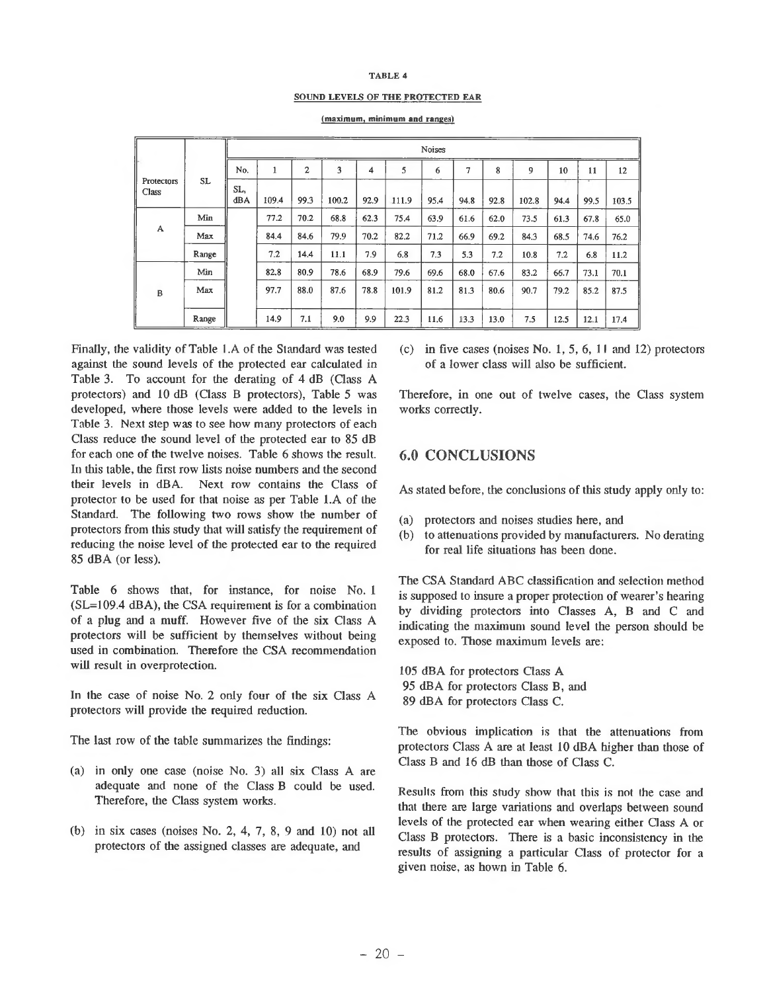#### TABLE 4

#### SOUND LEVELS OF THE PROTECTED EAR

|                            |       |            | Noises |                |       |      |       |      |      |      |       |      |      |       |
|----------------------------|-------|------------|--------|----------------|-------|------|-------|------|------|------|-------|------|------|-------|
|                            |       | No.        |        | $\overline{c}$ | 3     | 4    | 5     | 6    | 7    | 8    | 9     | 10   | 11   | 12    |
| <b>Protectors</b><br>Class | SL    | SL,<br>dBA | 109.4  | 99.3           | 100.2 | 92.9 | 111.9 | 95.4 | 94.8 | 92.8 | 102.8 | 94.4 | 99.5 | 103.5 |
|                            | Min   |            | 77.2   | 70.2           | 68.8  | 62.3 | 75.4  | 63.9 | 61.6 | 62.0 | 73.5  | 61.3 | 67.8 | 65.0  |
| A                          | Max   |            | 84.4   | 84.6           | 79.9  | 70.2 | 82.2  | 71.2 | 66.9 | 69.2 | 84.3  | 68.5 | 74.6 | 76.2  |
|                            | Range |            | 7.2    | 14.4           | 11.1  | 7.9  | 6.8   | 7.3  | 5.3  | 7.2  | 10.8  | 7.2  | 6.8  | 11.2  |
|                            | Min   |            | 82.8   | 80.9           | 78.6  | 68.9 | 79.6  | 69.6 | 68.0 | 67.6 | 83.2  | 66.7 | 73.1 | 70.1  |
| B                          | Max   |            | 97.7   | 88.0           | 87.6  | 78.8 | 101.9 | 81.2 | 81.3 | 80.6 | 90.7  | 79.2 | 85.2 | 87.5  |
|                            | Range |            | 14.9   | 7.1            | 9.0   | 9.9  | 22.3  | 11.6 | 13.3 | 13.0 | 7.5   | 12.5 | 12.1 | 17.4  |

(maximum, minimum and ranges)

Finally, Ihe validity of Table I .A of the Standard was tested against the sound levels of the protected ear calculated in Table 3. To account for the derating of 4 dB (Class A protectors) and 10 dB (Class B protectors), Table 5 was developed, where those levels were added to the levels in Table 3. Next step was to see how many protectors of each Class reduce the sound level of the protected ear to 85 dB for each one of the twelve noises. Table 6 shows the result. In this table, the first row lists noise numbers and the second their levels in dBA. Next row contains the Class of protector to be used for that noise as per Table l.A of the Standard. The following two rows show the number of protectors from this study that will satisfy the requirement of reducing the noise level of the protected ear to the required 85 dBA (or less).

Table 6 shows that, for instance, for noise No. 1 (SL=109.4 dBA), the CSA requirement is for a combination of a plug and a muff. However five of the six Class A protectors will be sufficient by themselves without being used in combination. Therefore the CSA recommendation will result in overprotection.

In the case of noise No. 2 only four of the six Class A protectors will provide the required reduction.

The last row of the table summarizes the findings:

- (a) in only one case (noise No. 3) all six Class A are adequate and none of the Class B could be used. Therefore, the Class system works.
- (b) in six cases (noises No. 2, 4, 7, 8, 9 and 10) not all protectors of the assigned classes are adequate, and

(c) in five cases (noises No. 1, 5, 6, II and 12) protectors of a lower class will also be sufficient.

Therefore, in one out of twelve cases, the Class system works correctly.

# **6.0 CONCLUSIONS**

As stated before, the conclusions of this study apply only to:

- (a) protectors and noises studies here, and
- (b) to attenuations provided by manufacturers. No derating for real life situations has been done.

The CSA Standard ABC classification and selection method is supposed to insure a proper protection of wearer's hearing by dividing protectors into Classes A, B and C and indicating the maximum sound level the person should be exposed to. Those maximum levels are:

105 dBA for protectors Class A 95 dBA for protectors Class B, and 89 dBA for protectors Class C.

The obvious implication is that the attenuations from protectors Class A are at least 10 dBA higher than those of Class B and 16 dB than those of Class C.

Results from this study show that this is not the case and that there are large variations and overlaps between sound levels of the protected ear when wearing either Class A or Class B protectors. There is a basic inconsistency in the results of assigning a particular Class of protector for a given noise, as hown in Table 6.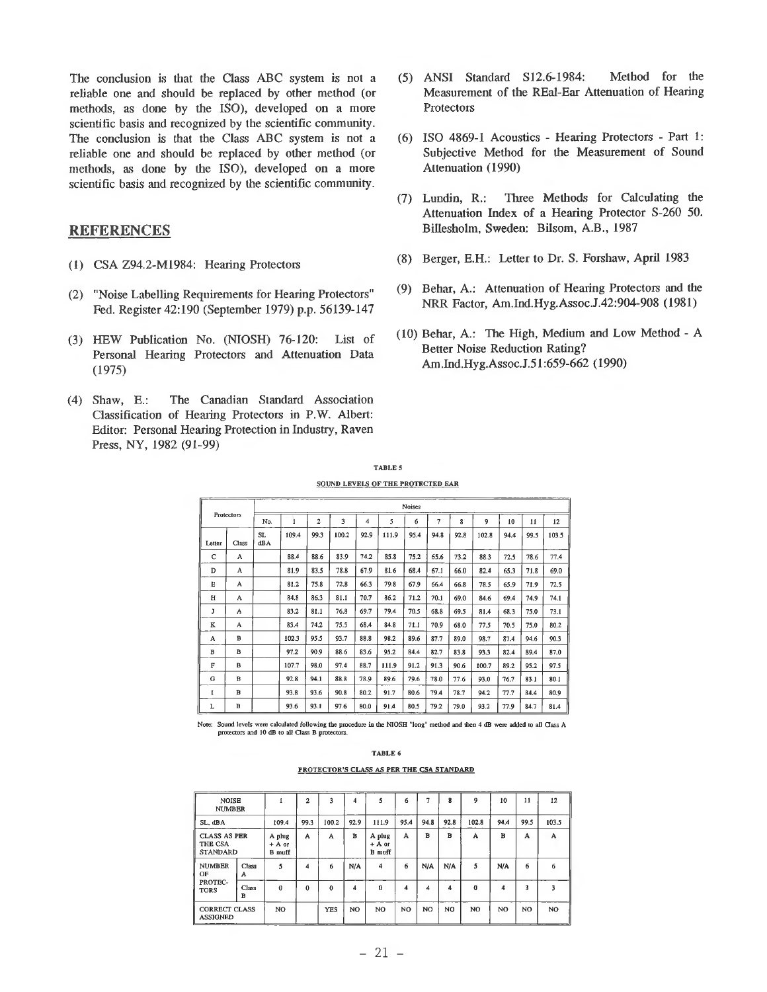The conclusion is that the Class ABC system is not a reliable one and should be replaced by other method (or methods, as done by the ISO), developed on a more scientific basis and recognized by the scientific community. The conclusion is that the Class ABC system is not a reliable one and should be replaced by other method (or methods, as done by the ISO), developed on a more scientific basis and recognized by the scientific community.

## **REFERENCES**

- (1) CSA Z94.2-M1984: Hearing Protectors
- (2) "Noise Labelling Requirements for Hearing Protectors" Fed. Register 42:190 (September 1979) p.p. 56139-147
- (3) HEW Publication No. (NTOSH) 76-120: List of Personal Hearing Protectors and Attenuation Data (1975)
- (4) Shaw, E.: The Canadian Standard Association Classification of Hearing Protectors in P.W. Albert: Editor: Personal Hearing Protection in Industry, Raven Press, NY, 1982 (91-99)
- (5) ANSI Standard S I2.6-1984: Method for the Measurement of the REal-Ear Attenuation of Hearing Protectors
- (6) ISO 4869-1 Acoustics Hearing Protectors Part 1: Subjective Method for the Measurement of Sound Attenuation (1990)
- (7) Lundin, R.: Three Methods for Calculating the Attenuation Index of a Hearing Protector S-260 50. Billesholm, Sweden: Bilsom, A.B., 1987
- (8) Berger, E.H.: Letter to Dr. S. Forshaw, April 1983
- (9) Behar, A.: Attenuation of Hearing Protectors and the NRR Factor, Am.Ind.Hyg.Assoc.J.42:904-908 (1981)
- (10) Behar, A.: The High, Medium and Low Method A Better Noise Reduction Rating? Am.Ind.Hyg.Assoc.J.51:659-662 (1990)

TABLE 5 SOUND LEVELS OF THE PROTECTED EAR

| Protectors |       | Noises    |       |      |       |                  |       |      |      |      |       |      |      |       |
|------------|-------|-----------|-------|------|-------|------------------|-------|------|------|------|-------|------|------|-------|
|            |       | No.       | 1     | 2    | 3     | $\boldsymbol{A}$ | 5     | 6    | 7    | 8    | 9     | 10   | 11   | 12    |
| Letter     | Class | SL<br>dBA | 109.4 | 99.3 | 100.2 | 92.9             | 111.9 | 95.4 | 94.8 | 92.8 | 102.8 | 94.4 | 99.5 | 103.5 |
| C          | A     |           | 88.4  | 88.6 | 83.9  | 74.2             | 85.8  | 75.2 | 65.6 | 73.2 | 88.3  | 72.5 | 78.6 | 77.4  |
| D          | A     |           | 81.9  | 83.5 | 78.8  | 67.9             | 81.6  | 68.4 | 67.1 | 66.0 | 82.4  | 65.3 | 71.8 | 69.0  |
| Е          | A     |           | 81.2  | 75.8 | 72.8  | 66.3             | 79.8  | 67.9 | 66.4 | 66.8 | 78.5  | 65.9 | 71.9 | 72.5  |
| H          | A     |           | 84.8  | 86.3 | 81.1  | 70.7             | 86.2  | 71.2 | 70.1 | 69.0 | 84.6  | 69.4 | 74.9 | 74.1  |
| Ĵ          | A     |           | 83.2  | 81.1 | 76.8  | 69.7             | 79.4  | 70.5 | 68.8 | 69.5 | 81.4  | 68.3 | 75.0 | 73.1  |
| K          | A     |           | 83.4  | 74.2 | 75.5  | 68.4             | 84.8  | 71.1 | 70.9 | 68.0 | 77.5  | 70.5 | 75.0 | 80.2  |
| А          | B     |           | 102.3 | 95.5 | 93.7  | 88.8             | 98.2  | 89.6 | 87.7 | 89.0 | 98.7  | 87.4 | 94.6 | 90.3  |
| $\bf{B}$   | в     |           | 97.2  | 90.9 | 88.6  | 83.6             | 95.2  | 84.4 | 82.7 | 83.8 | 93.3  | 82.4 | 89.4 | 87.0  |
| F          | B     |           | 107.7 | 98.0 | 97.4  | 88.7             | 111.9 | 91.2 | 91.3 | 90.6 | 100.7 | 89.2 | 95.2 | 97.5  |
| G          | в     |           | 92.8  | 94.1 | 88.8  | 78.9             | 89.6  | 79.6 | 78.0 | 77.6 | 93.0  | 76.7 | 83.1 | 80.1  |
| I          | в     |           | 93.8  | 93.6 | 90.8  | 80.2             | 91.7  | 80.6 | 79.4 | 78.7 | 94.2  | 77.7 | 84.4 | 80.9  |
| г          | в     |           | 93.6  | 93.1 | 97.6  | 80.0             | 91.4  | 80.5 | 79.2 | 79.0 | 93.2  | 77.9 | 84.7 | 81.4  |

Note: Sound levels were calculated following the procedure in the NIOSH "long" method and then 4 dB were added to all Class A protectors and 10 dB to all Class B protectors.

|--|--|

#### PROTECTOR'S CLASS AS PER THE CSA STANDARD

| <b>NOISE</b><br><b>NUMBER</b>           |                                        |          | $\mathbf{z}$ | 3          | 4    | s                                   | 6    | 7    | 8              | $\mathbf{9}$   | 10             | 11             | 12    |
|-----------------------------------------|----------------------------------------|----------|--------------|------------|------|-------------------------------------|------|------|----------------|----------------|----------------|----------------|-------|
| SL, dBA                                 |                                        | 109.4    | 99.3         | 100.2      | 92.9 | 111.9                               | 95.4 | 94.8 | 92.8           | 102.8          | 94.4           | 99.5           | 103.5 |
| THE CSA                                 | <b>CLASS AS PER</b><br><b>STANDARD</b> |          | A            | A          | в    | A plug<br>$+$ A or<br><b>B</b> muff | A    | B    | в              | A              | B              | A              | A     |
| <b>NUMBER</b><br>OF                     | Class<br>A                             | 5        | 4            | 6          | N/A  | $\overline{\bf{4}}$                 | 6    | N/A  | N/A            | 5              | N/A            | 6              | 6     |
| PROTEC-<br><b>TORS</b>                  | Class<br>R                             | $\theta$ | 0            | $\Omega$   | 4    | $\bf{0}$                            | 4    | 4    | 4              | $\Omega$       | 4              | 3              | ٩     |
| <b>CORRECT CLASS</b><br><b>ASSIGNED</b> |                                        | NO.      |              | <b>YES</b> | NO   | NO.                                 | NO   | NO.  | N <sub>O</sub> | N <sub>O</sub> | N <sub>O</sub> | N <sub>O</sub> | NO.   |